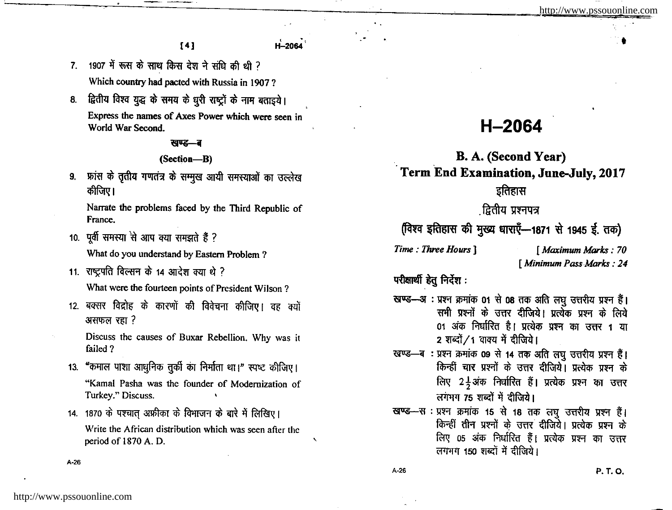$[4]$ 

- 1907 में रूस के साथ किस देश ने संधि की थी ?  $7<sup>1</sup>$ Which country had pacted with Russia in 1907?
- द्वितीय विश्व युद्ध के समय के धूरी राष्ट्रों के नाम बताइये। 8. Express the names of Axes Power which were seen in World War Second.

### खण्ड—ब

#### (Section-B)

फ्रांस के तृतीय गणतंत्र के सम्मूख आयी समस्याओं का उल्लेख  $9.$ कीजिए।

Narrate the problems faced by the Third Republic of France.

10. पूर्वी समस्या से आप क्या समझते हैं ?

What do you understand by Eastern Problem ?

- 11. राष्ट्रपति विल्सन के 14 आदेश क्या थे ? What were the fourteen points of President Wilson?
- 12. बक्सर विद्रोह के कारणों की विवेचना कीजिए। वह क्यों असफल रहा?

Discuss the causes of Buxar Rebellion. Why was it failed?

- 13. "कमाल पाशा आधुनिक तुर्की का निर्माता था।" स्पष्ट कीजिए। "Kamal Pasha was the founder of Modernization of Turkey." Discuss.
- 14. 1870 के पश्चात अफ़्रीका के विभाजन के बारे में लिखिए। Write the African distribution which was seen after the period of 1870 A.D.

# H-2064

# B. A. (Second Year) Term End Examination, June-July, 2017

## इतिहास

### .द्वितीय प्रश्नपत्र

(विश्व इतिहास की मुख्य धाराएँ-1871 से 1945 ई. तक)

Time: Three Hours 1

[ Maximum Marks: 70 [ Minimum Pass Marks : 24

परीक्षार्थी हेतु निर्देश:

- खण्ड-अः प्रश्न क्रमांक 01 से 08 तक अति लघु उत्तरीय प्रश्न हैं। सभी प्रश्नों के उत्तर दीजिये। प्रत्येक प्रश्न के लिये 01 अंक निर्धारित है। प्रत्येक प्रश्न का उत्तर 1 या 2 शब्दों / 1 वाक्य में दीजिये।
- खण्ड-ब: प्रश्न क्रमांक 09 से 14 तक अति लघु उत्तरीय प्रश्न हैं। किन्हीं चार प्रश्नों के उत्तर दीजिये। प्रत्येक प्रश्न के लिए 24अंक निर्धारित हैं। प्रत्येक प्रश्न का उत्तर लगभग 75 शब्दों में दीजिये।
- खण्ड-स : प्रश्न क्रमांक 15 से 18 तक लघु उत्तरीय प्रश्न हैं। किन्हीं तीन प्रश्नों के उत्तर दीजिये। प्रत्येक प्रश्न के लिए 05 अंक निर्धारित हैं। प्रत्येक प्रश्न का उत्तर लगभग 150 शब्दों में दीजिये।

 $A-26$ 

 $A-26$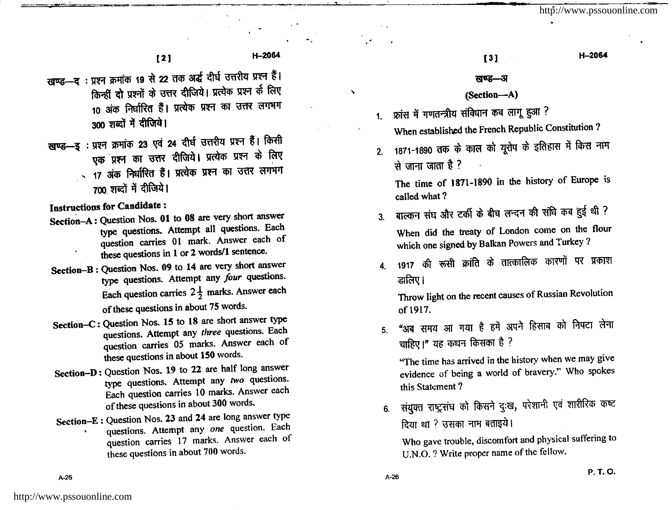H-2064

H-2064

 $[2]$ 

खण्ड-द: प्रश्न क्रमांक 19 से 22 तक अर्द्ध दीर्घ उत्तरीय प्रश्न हैं। किन्हीं दो प्रश्नों के उत्तर दीजिये। प्रत्येक प्रश्न के लिए 10 अंक निर्धारित हैं। प्रत्येक प्रश्न का उत्तर लगभग 300 शब्दों में दीजिये।

खण्ड-इ: प्रश्न क्रमांक 23 एवं 24 दीर्घ उत्तरीय प्रश्न हैं। किसी एक प्रश्न का उत्तर दीजिये। प्रत्येक प्रश्न के लिए - 17 अंक निर्धारित हैं। प्रत्येक प्रश्न का उत्तर लगभग 700 शब्दों में दीजिये।

**Instructions for Candidate:** 

- Section-A: Question Nos. 01 to 08 are very short answer type questions. Attempt all questions. Each question carries 01 mark. Answer each of these questions in 1 or 2 words/1 sentence.
- Section-B: Question Nos. 09 to 14 are very short answer type questions. Attempt any four questions. Each question carries  $2\frac{1}{2}$  marks. Answer each of these questions in about 75 words.
- Section-C: Question Nos. 15 to 18 are short answer type questions. Attempt any three questions. Each question carries 05 marks. Answer each of these questions in about 150 words.
- Section-D: Question Nos. 19 to 22 are half long answer type questions. Attempt any two questions. Each question carries 10 marks. Answer each of these questions in about 300 words.
- Section-E: Question Nos. 23 and 24 are long answer type questions. Attempt any one question. Each question carries 17 marks. Answer each of these questions in about 700 words.

#### खण्ड—अ

 $[3]$ 

### (Section-A)

- 1. फ्रांस में गणतन्त्रीय संविधान कब लागू हुआ ?
	- When established the French Republic Constitution?
- 1871-1890 तक के काल को यूरोप के इतिहास में किस नाम  $2<sup>1</sup>$ से जाना जाता है ?

The time of 1871-1890 in the history of Europe is called what?

बाल्कन संघ और टर्की के बीच लन्दन की संधि कब हुई थी ?  $3<sub>l</sub>$ 

When did the treaty of London come on the flour which one signed by Balkan Powers and Turkey?

4. 1917 की रूसी क्रांति के तात्कालिक कारणों पर प्रकाश डालिए।

Throw light on the recent causes of Russian Revolution of 1917.

"अब समय आ गया है हमें अपने हिसाब को निपटा लेना  $5<sub>1</sub>$ चाहिए।" यह कथन किसका है ?

"The time has arrived in the history when we may give evidence of being a world of bravery." Who spokes this Statement?

संयुक्त राष्ट्रसंघ को किसने दुःख, परेशानी एवं शारीरिक कष्ट  $6.$ दिया था ? उसका नाम बताइये।

Who gave trouble, discomfort and physical suffering to U.N.O. ? Write proper name of the fellow.

http://www.pssouonline.com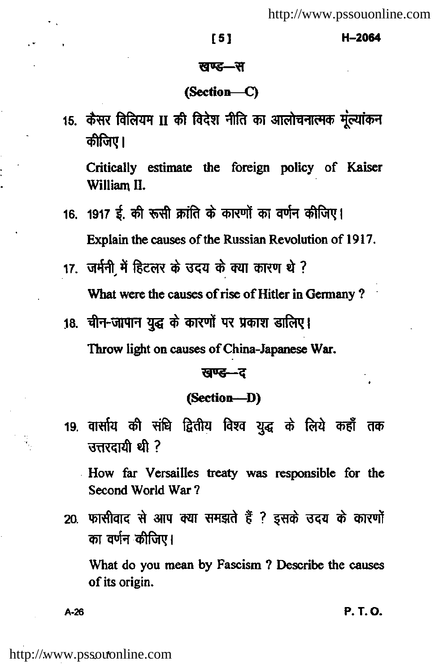#### [5]

#### H-2064

#### खण्ड—स

### (Section-C)

15. कैसर विलियम II की विदेश नीति का आलोचनात्मक मुल्यांकन कीजिए।

Critically estimate the foreign policy of Kaiser William II.

- 16. 1917 ई. की रूसी क्रांति के कारणों का वर्णन कीजिए। Explain the causes of the Russian Revolution of 1917.
- 17. जर्मनी में हिटलर के उदय के क्या कारण थे ? What were the causes of rise of Hitler in Germany?
- 18. चीन-जापान युद्ध के कारणों पर प्रकाश डालिए।

Throw light on causes of China-Japanese War.

#### खण्ड—द

### (Section-D)

19. वार्साय की संधि द्वितीय विश्व युद्ध के लिये कहाँ तक उत्तरदायी थी ?

How far Versailles treaty was responsible for the Second World War?

20. फासीवाद से आप क्या समझते हैं ? इसके उदय के कारणों का वर्णन कीजिए।

What do you mean by Fascism? Describe the causes of its origin.

 $A - 26$ 

P. T. O.